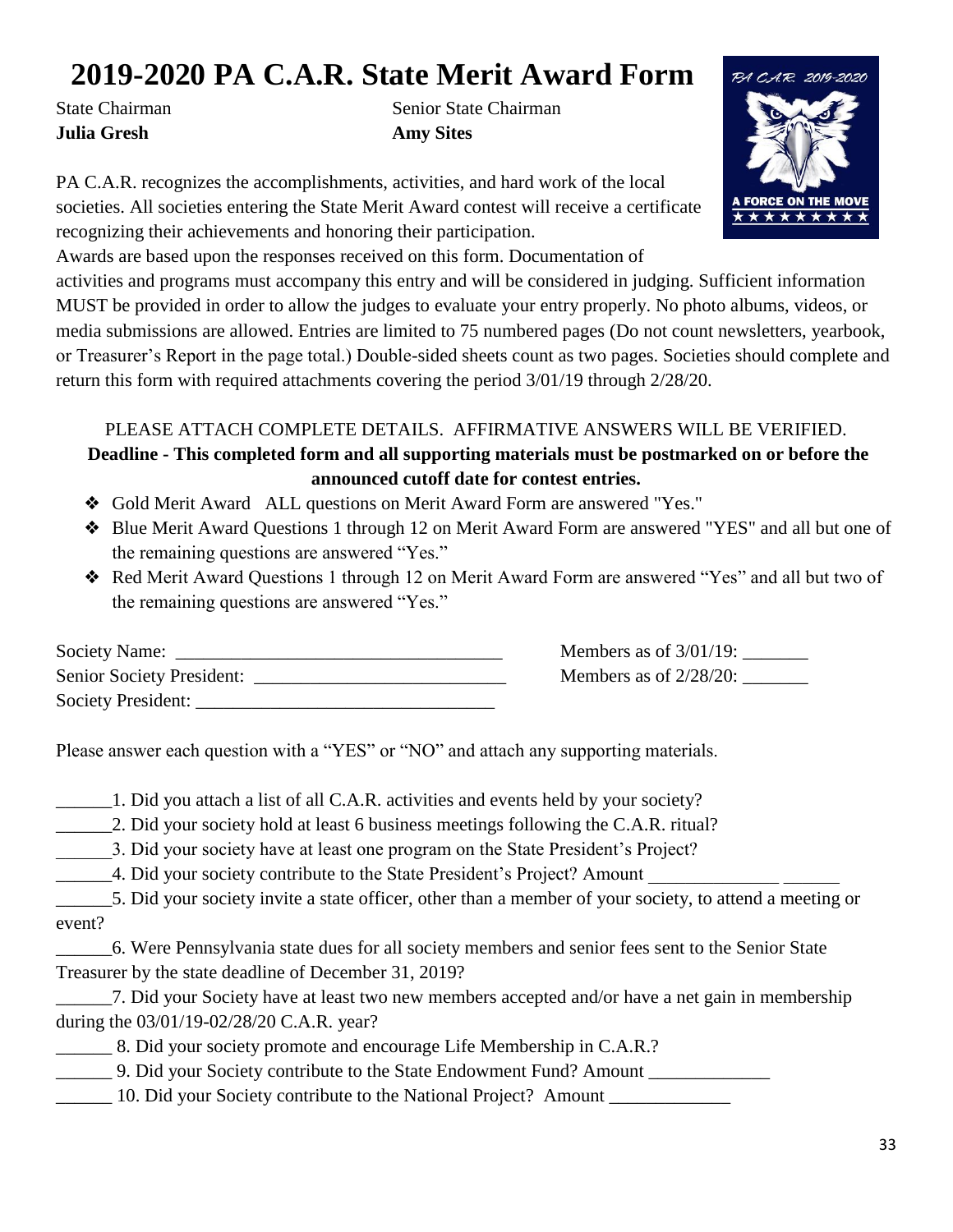## **2019-2020 PA C.A.R. State Merit Award Form**

**Julia Gresh Amy Sites** 

State Chairman State Chairman

PA C.A.R. recognizes the accomplishments, activities, and hard work of the local societies. All societies entering the State Merit Award contest will receive a certificate recognizing their achievements and honoring their participation.



Awards are based upon the responses received on this form. Documentation of

activities and programs must accompany this entry and will be considered in judging. Sufficient information MUST be provided in order to allow the judges to evaluate your entry properly. No photo albums, videos, or media submissions are allowed. Entries are limited to 75 numbered pages (Do not count newsletters, yearbook, or Treasurer's Report in the page total.) Double-sided sheets count as two pages. Societies should complete and return this form with required attachments covering the period 3/01/19 through 2/28/20.

## PLEASE ATTACH COMPLETE DETAILS. AFFIRMATIVE ANSWERS WILL BE VERIFIED. **Deadline - This completed form and all supporting materials must be postmarked on or before the announced cutoff date for contest entries.**

- ❖ Gold Merit Award ALL questions on Merit Award Form are answered "Yes."
- ❖ Blue Merit Award Questions 1 through 12 on Merit Award Form are answered "YES" and all but one of the remaining questions are answered "Yes."
- ❖ Red Merit Award Questions 1 through 12 on Merit Award Form are answered "Yes" and all but two of the remaining questions are answered "Yes."

| <b>Society Name:</b>             | Members as of $3/01/19$ : |
|----------------------------------|---------------------------|
| <b>Senior Society President:</b> | Members as of $2/28/20$ : |
| <b>Society President:</b>        |                           |

Please answer each question with a "YES" or "NO" and attach any supporting materials.

\_\_\_\_\_\_1. Did you attach a list of all C.A.R. activities and events held by your society?

- 2. Did your society hold at least 6 business meetings following the C.A.R. ritual?
- \_\_\_\_\_\_3. Did your society have at least one program on the State President's Project?
- 4. Did your society contribute to the State President's Project? Amount
- \_\_\_\_\_\_5. Did your society invite a state officer, other than a member of your society, to attend a meeting or event?
- \_\_\_\_\_\_6. Were Pennsylvania state dues for all society members and senior fees sent to the Senior State Treasurer by the state deadline of December 31, 2019?
- \_\_\_\_\_\_7. Did your Society have at least two new members accepted and/or have a net gain in membership during the 03/01/19-02/28/20 C.A.R. year?
- \_\_\_\_\_\_ 8. Did your society promote and encourage Life Membership in C.A.R.?
	- \_\_\_\_\_\_ 9. Did your Society contribute to the State Endowment Fund? Amount \_\_\_\_\_\_\_\_\_\_\_\_\_
	- 10. Did your Society contribute to the National Project? Amount \_\_\_\_\_\_\_\_\_\_\_\_\_\_\_\_